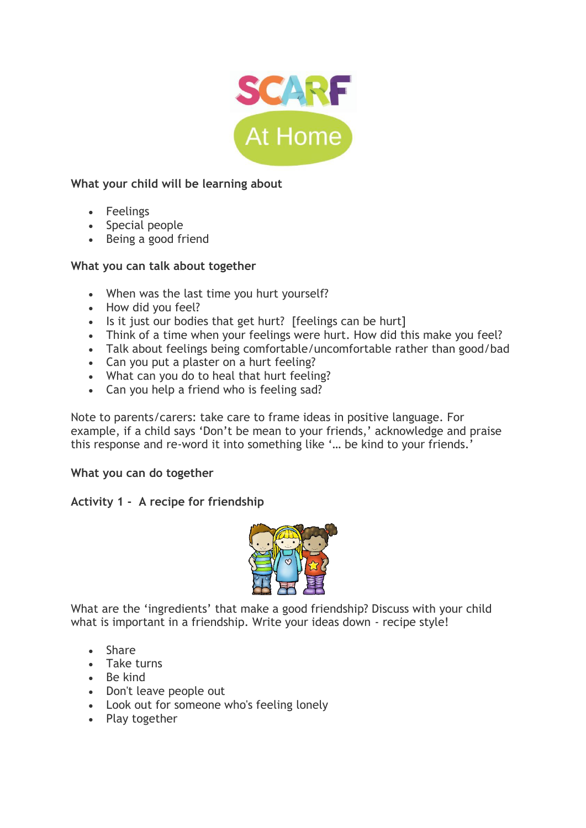

## **What your child will be learning about**

- Feelings
- Special people
- Being a good friend

## **What you can talk about together**

- When was the last time you hurt yourself?
- How did you feel?
- Is it just our bodies that get hurt? [feelings can be hurt]
- Think of a time when your feelings were hurt. How did this make you feel?
- Talk about feelings being comfortable/uncomfortable rather than good/bad
- Can you put a plaster on a hurt feeling?
- What can you do to heal that hurt feeling?
- Can you help a friend who is feeling sad?

Note to parents/carers: take care to frame ideas in positive language. For example, if a child says 'Don't be mean to your friends,' acknowledge and praise this response and re-word it into something like '… be kind to your friends.'

## **What you can do together**

## **Activity 1 - A recipe for friendship**



What are the 'ingredients' that make a good friendship? Discuss with your child what is important in a friendship. Write your ideas down - recipe style!

- Share
- Take turns
- Be kind
- Don't leave people out
- Look out for someone who's feeling lonely
- Play together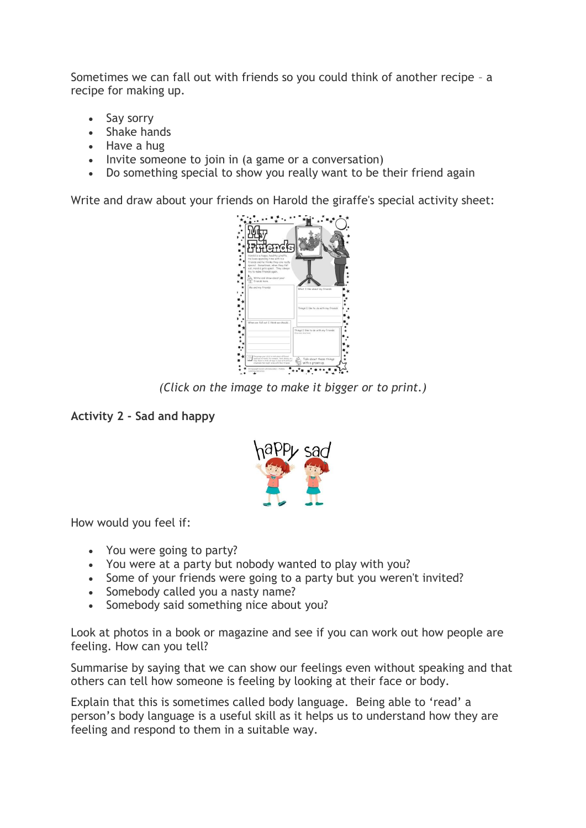Sometimes we can fall out with friends so you could think of another recipe – a recipe for making up.

- Say sorry
- Shake hands
- Have a hug
- Invite someone to join in (a game or a conversation)
- Do something special to show you really want to be their friend again

Write and draw about your friends on Harold the giraffe's special activity sheet:



*(Click on the image to make it bigger or to print.)*

# **Activity 2 - Sad and happy**



How would you feel if:

- You were going to party?
- You were at a party but nobody wanted to play with you?
- Some of your friends were going to a party but you weren't invited?
- Somebody called you a nasty name?
- Somebody said something nice about you?

Look at photos in a book or magazine and see if you can work out how people are feeling. How can you tell?

Summarise by saying that we can show our feelings even without speaking and that others can tell how someone is feeling by looking at their face or body.

Explain that this is sometimes called body language. Being able to 'read' a person's body language is a useful skill as it helps us to understand how they are feeling and respond to them in a suitable way.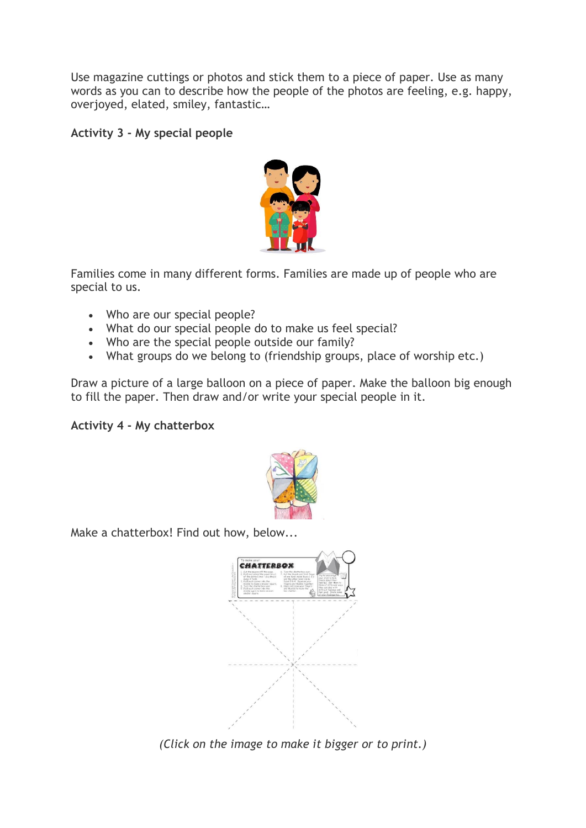Use magazine cuttings or photos and stick them to a piece of paper. Use as many words as you can to describe how the people of the photos are feeling, e.g. happy, overjoyed, elated, smiley, fantastic…

## **Activity 3 - My special people**



Families come in many different forms. Families are made up of people who are special to us.

- Who are our special people?
- What do our special people do to make us feel special?
- Who are the special people outside our family?
- What groups do we belong to (friendship groups, place of worship etc.)

Draw a picture of a large balloon on a piece of paper. Make the balloon big enough to fill the paper. Then draw and/or write your special people in it.

### **Activity 4 - My chatterbox**



Make a chatterbox! Find out how, below...



*(Click on the image to make it bigger or to print.)*